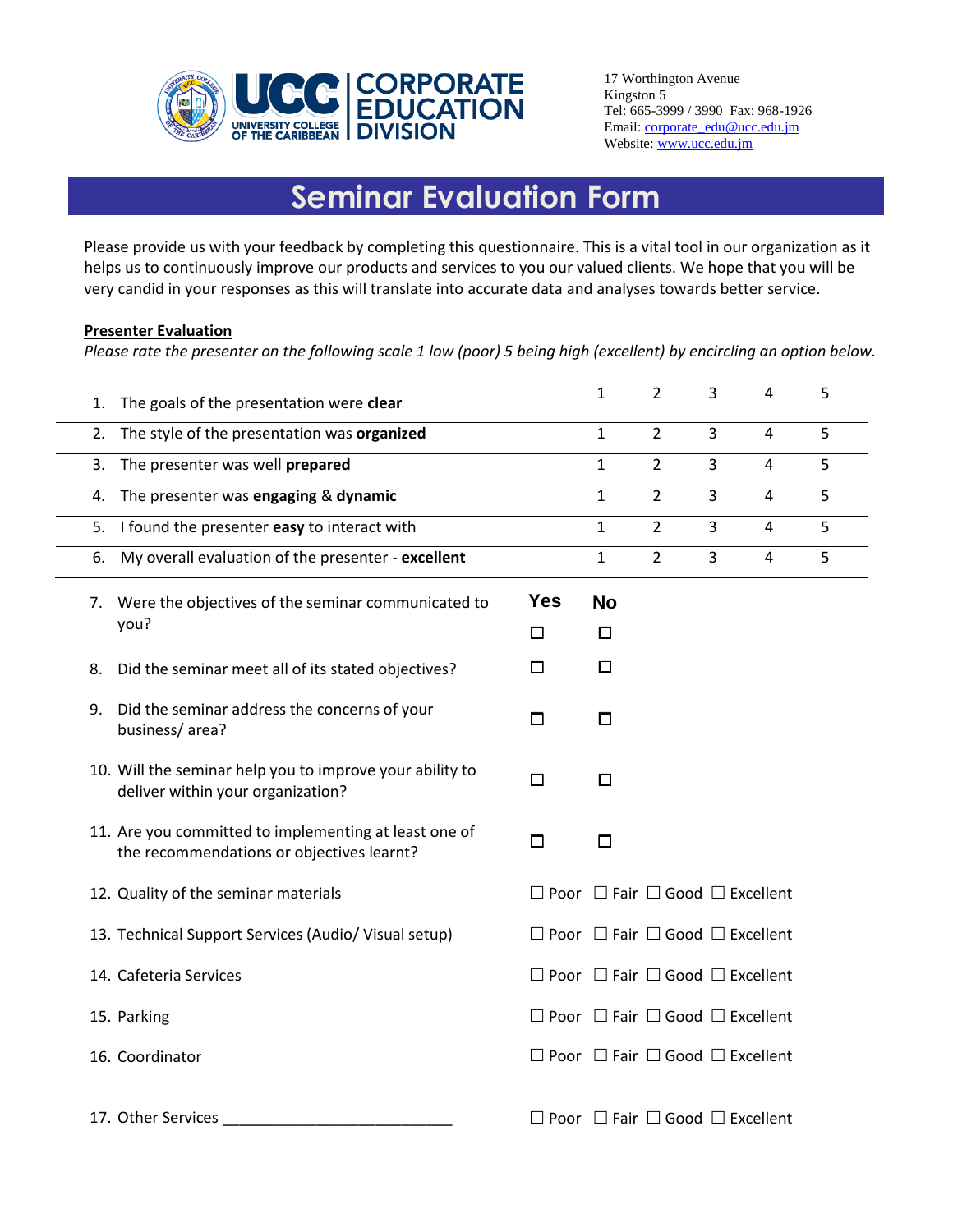

17 Worthington Avenue Kingston 5 Tel: 665-3999 / 3990 Fax: 968-1926 Email: [corporate\\_edu@ucc.edu.jm](mailto:corporate_edu@ucc.edu.jm) Website: [www.ucc.edu.jm](http://www.ucc.edu.jm/)

## **Seminar Evaluation Form**

Please provide us with your feedback by completing this questionnaire. This is a vital tool in our organization as it helps us to continuously improve our products and services to you our valued clients. We hope that you will be very candid in your responses as this will translate into accurate data and analyses towards better service.

## **Presenter Evaluation**

*Please rate the presenter on the following scale 1 low (poor) 5 being high (excellent) by encircling an option below.* 

| 1. | The goals of the presentation were clear                                                           |                                                      | $\mathbf{1}$ | $\overline{2}$ | 3 | $\overline{4}$ | 5 |
|----|----------------------------------------------------------------------------------------------------|------------------------------------------------------|--------------|----------------|---|----------------|---|
| 2. | The style of the presentation was organized                                                        |                                                      | $\mathbf{1}$ | $\overline{2}$ | 3 | $\overline{4}$ | 5 |
| 3. | The presenter was well prepared                                                                    |                                                      | $\mathbf{1}$ | $\overline{2}$ | 3 | 4              | 5 |
| 4. | The presenter was engaging & dynamic                                                               |                                                      | 1            | $\overline{2}$ | 3 | 4              | 5 |
| 5. | I found the presenter easy to interact with                                                        |                                                      | 1            | $\overline{2}$ | 3 | 4              | 5 |
| 6. | My overall evaluation of the presenter - excellent                                                 |                                                      | $\mathbf{1}$ | $\overline{2}$ | 3 | 4              | 5 |
| 7. | Were the objectives of the seminar communicated to<br>you?                                         | <b>Yes</b>                                           | <b>No</b>    |                |   |                |   |
|    |                                                                                                    | $\Box$                                               | □            |                |   |                |   |
| 8. | Did the seminar meet all of its stated objectives?                                                 | □                                                    | □            |                |   |                |   |
| 9. | Did the seminar address the concerns of your<br>business/area?                                     | □                                                    | П            |                |   |                |   |
|    | 10. Will the seminar help you to improve your ability to<br>deliver within your organization?      | □                                                    | □            |                |   |                |   |
|    | 11. Are you committed to implementing at least one of<br>the recommendations or objectives learnt? | $\Box$                                               | $\Box$       |                |   |                |   |
|    | 12. Quality of the seminar materials                                                               | $\Box$ Poor $\Box$ Fair $\Box$ Good $\Box$ Excellent |              |                |   |                |   |
|    | 13. Technical Support Services (Audio/ Visual setup)                                               | $\Box$ Poor $\Box$ Fair $\Box$ Good $\Box$ Excellent |              |                |   |                |   |
|    | 14. Cafeteria Services                                                                             | $\Box$ Poor $\Box$ Fair $\Box$ Good $\Box$ Excellent |              |                |   |                |   |
|    | 15. Parking                                                                                        | $\Box$ Poor $\Box$ Fair $\Box$ Good $\Box$ Excellent |              |                |   |                |   |
|    | 16. Coordinator                                                                                    | $\Box$ Poor $\Box$ Fair $\Box$ Good $\Box$ Excellent |              |                |   |                |   |
|    | 17. Other Services                                                                                 | $\Box$ Poor $\Box$ Fair $\Box$ Good $\Box$ Excellent |              |                |   |                |   |